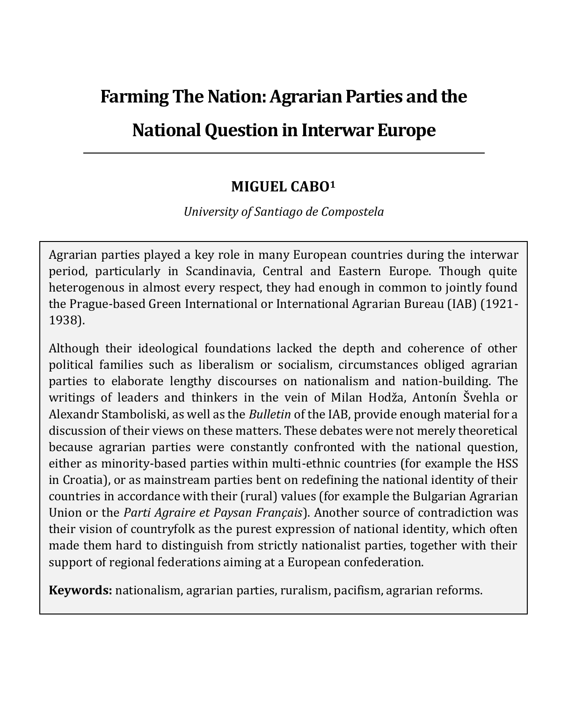# **Farming The Nation: Agrarian Parties and the**

# **National Question in Interwar Europe**

#### **MIGUEL CABO<sup>1</sup>**

*University of Santiago de Compostela*

Agrarian parties played a key role in many European countries during the interwar period, particularly in Scandinavia, Central and Eastern Europe. Though quite heterogenous in almost every respect, they had enough in common to jointly found the Prague-based Green International or International Agrarian Bureau (IAB) (1921- 1938).

Although their ideological foundations lacked the depth and coherence of other political families such as liberalism or socialism, circumstances obliged agrarian parties to elaborate lengthy discourses on nationalism and nation-building. The writings of leaders and thinkers in the vein of Milan Hodža, Antonín Švehla or Alexandr Stamboliski, as well as the *Bulletin* of the IAB, provide enough material for a discussion of their views on these matters. These debates were not merely theoretical because agrarian parties were constantly confronted with the national question, either as minority-based parties within multi-ethnic countries (for example the HSS in Croatia), or as mainstream parties bent on redefining the national identity of their countries in accordance with their (rural) values (for example the Bulgarian Agrarian Union or the *Parti Agraire et Paysan Français*). Another source of contradiction was their vision of countryfolk as the purest expression of national identity, which often made them hard to distinguish from strictly nationalist parties, together with their support of regional federations aiming at a European confederation.

**Keywords:** nationalism, agrarian parties, ruralism, pacifism, agrarian reforms.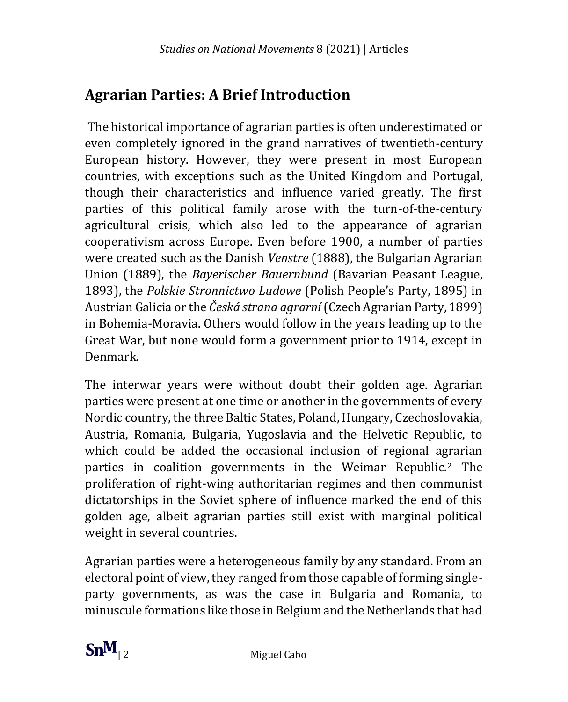# **Agrarian Parties: A Brief Introduction**

The historical importance of agrarian parties is often underestimated or even completely ignored in the grand narratives of twentieth-century European history. However, they were present in most European countries, with exceptions such as the United Kingdom and Portugal, though their characteristics and influence varied greatly. The first parties of this political family arose with the turn-of-the-century agricultural crisis, which also led to the appearance of agrarian cooperativism across Europe. Even before 1900, a number of parties were created such as the Danish *Venstre* (1888), the Bulgarian Agrarian Union (1889), the *Bayerischer Bauernbund* (Bavarian Peasant League, 1893), the *Polskie Stronnictwo Ludowe* (Polish People's Party, 1895) in Austrian Galicia or the *Česká strana agrarní* (Czech Agrarian Party, 1899) in Bohemia-Moravia. Others would follow in the years leading up to the Great War, but none would form a government prior to 1914, except in Denmark.

The interwar years were without doubt their golden age. Agrarian parties were present at one time or another in the governments of every Nordic country, the three Baltic States, Poland, Hungary, Czechoslovakia, Austria, Romania, Bulgaria, Yugoslavia and the Helvetic Republic, to which could be added the occasional inclusion of regional agrarian parties in coalition governments in the Weimar Republic.<sup>2</sup> The proliferation of right-wing authoritarian regimes and then communist dictatorships in the Soviet sphere of influence marked the end of this golden age, albeit agrarian parties still exist with marginal political weight in several countries.

Agrarian parties were a heterogeneous family by any standard. From an electoral point of view, they ranged from those capable of forming singleparty governments, as was the case in Bulgaria and Romania, to minuscule formations like those in Belgium and the Netherlands that had

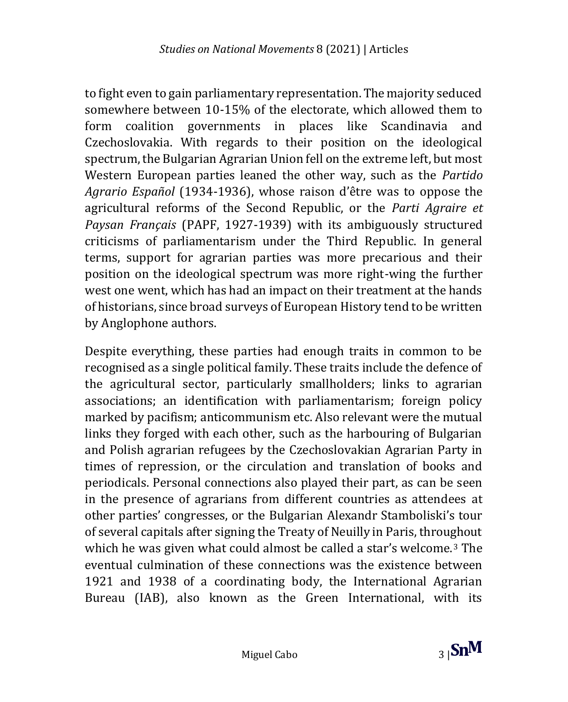to fight even to gain parliamentary representation. The majority seduced somewhere between 10-15% of the electorate, which allowed them to form coalition governments in places like Scandinavia and Czechoslovakia. With regards to their position on the ideological spectrum, the Bulgarian Agrarian Union fell on the extreme left, but most Western European parties leaned the other way, such as the *Partido Agrario Español* (1934-1936), whose raison d'être was to oppose the agricultural reforms of the Second Republic, or the *Parti Agraire et Paysan Français* (PAPF, 1927-1939) with its ambiguously structured criticisms of parliamentarism under the Third Republic. In general terms, support for agrarian parties was more precarious and their position on the ideological spectrum was more right-wing the further west one went, which has had an impact on their treatment at the hands of historians, since broad surveys of European History tend to be written by Anglophone authors.

Despite everything, these parties had enough traits in common to be recognised as a single political family. These traits include the defence of the agricultural sector, particularly smallholders; links to agrarian associations; an identification with parliamentarism; foreign policy marked by pacifism; anticommunism etc. Also relevant were the mutual links they forged with each other, such as the harbouring of Bulgarian and Polish agrarian refugees by the Czechoslovakian Agrarian Party in times of repression, or the circulation and translation of books and periodicals. Personal connections also played their part, as can be seen in the presence of agrarians from different countries as attendees at other parties' congresses, or the Bulgarian Alexandr Stamboliski's tour of several capitals after signing the Treaty of Neuilly in Paris, throughout which he was given what could almost be called a star's welcome.<sup>3</sup> The eventual culmination of these connections was the existence between 1921 and 1938 of a coordinating body, the International Agrarian Bureau (IAB), also known as the Green International, with its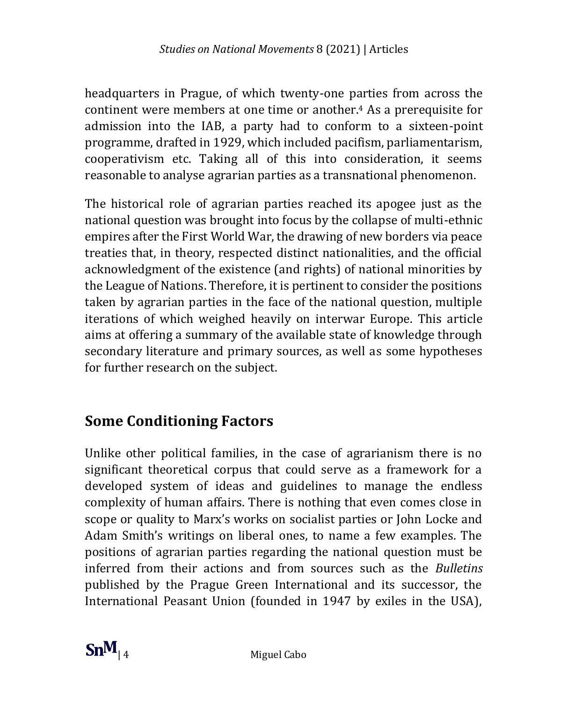headquarters in Prague, of which twenty-one parties from across the continent were members at one time or another.<sup>4</sup> As a prerequisite for admission into the IAB, a party had to conform to a sixteen-point programme, drafted in 1929, which included pacifism, parliamentarism, cooperativism etc. Taking all of this into consideration, it seems reasonable to analyse agrarian parties as a transnational phenomenon.

The historical role of agrarian parties reached its apogee just as the national question was brought into focus by the collapse of multi-ethnic empires after the First World War, the drawing of new borders via peace treaties that, in theory, respected distinct nationalities, and the official acknowledgment of the existence (and rights) of national minorities by the League of Nations. Therefore, it is pertinent to consider the positions taken by agrarian parties in the face of the national question, multiple iterations of which weighed heavily on interwar Europe. This article aims at offering a summary of the available state of knowledge through secondary literature and primary sources, as well as some hypotheses for further research on the subject.

# **Some Conditioning Factors**

Unlike other political families, in the case of agrarianism there is no significant theoretical corpus that could serve as a framework for a developed system of ideas and guidelines to manage the endless complexity of human affairs. There is nothing that even comes close in scope or quality to Marx's works on socialist parties or John Locke and Adam Smith's writings on liberal ones, to name a few examples. The positions of agrarian parties regarding the national question must be inferred from their actions and from sources such as the *Bulletins* published by the Prague Green International and its successor, the International Peasant Union (founded in 1947 by exiles in the USA),

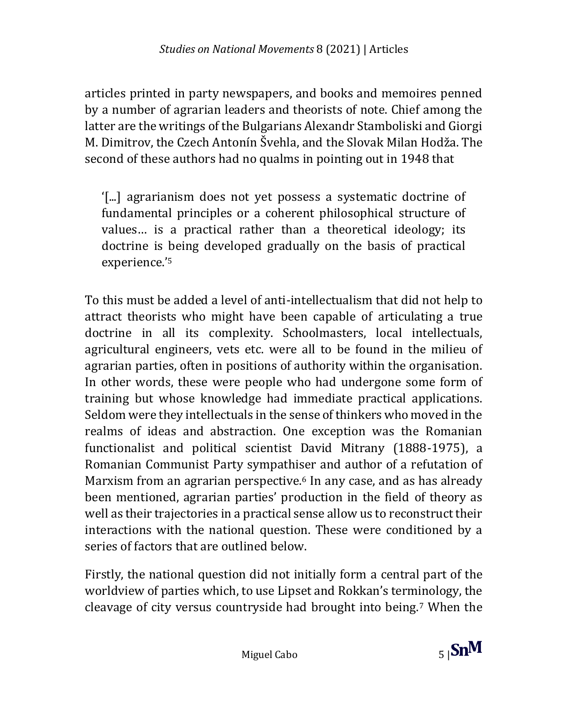articles printed in party newspapers, and books and memoires penned by a number of agrarian leaders and theorists of note. Chief among the latter are the writings of the Bulgarians Alexandr Stamboliski and Giorgi M. Dimitrov, the Czech Antonín Švehla, and the Slovak Milan Hodža. The second of these authors had no qualms in pointing out in 1948 that

'[...] agrarianism does not yet possess a systematic doctrine of fundamental principles or a coherent philosophical structure of values… is a practical rather than a theoretical ideology; its doctrine is being developed gradually on the basis of practical experience.' 5

To this must be added a level of anti-intellectualism that did not help to attract theorists who might have been capable of articulating a true doctrine in all its complexity. Schoolmasters, local intellectuals, agricultural engineers, vets etc. were all to be found in the milieu of agrarian parties, often in positions of authority within the organisation. In other words, these were people who had undergone some form of training but whose knowledge had immediate practical applications. Seldom were they intellectuals in the sense of thinkers who moved in the realms of ideas and abstraction. One exception was the Romanian functionalist and political scientist David Mitrany (1888-1975), a Romanian Communist Party sympathiser and author of a refutation of Marxism from an agrarian perspective.<sup>6</sup> In any case, and as has already been mentioned, agrarian parties' production in the field of theory as well as their trajectories in a practical sense allow us to reconstruct their interactions with the national question. These were conditioned by a series of factors that are outlined below.

Firstly, the national question did not initially form a central part of the worldview of parties which, to use Lipset and Rokkan's terminology, the cleavage of city versus countryside had brought into being.<sup>7</sup> When the

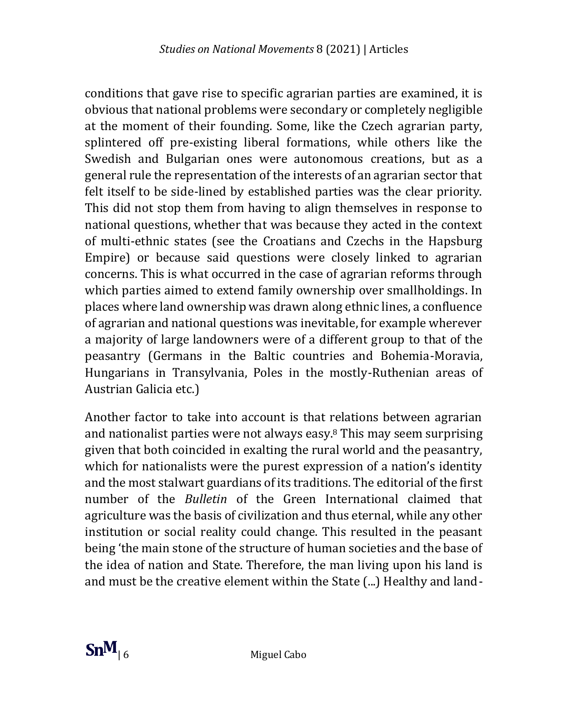conditions that gave rise to specific agrarian parties are examined, it is obvious that national problems were secondary or completely negligible at the moment of their founding. Some, like the Czech agrarian party, splintered off pre-existing liberal formations, while others like the Swedish and Bulgarian ones were autonomous creations, but as a general rule the representation of the interests of an agrarian sector that felt itself to be side-lined by established parties was the clear priority. This did not stop them from having to align themselves in response to national questions, whether that was because they acted in the context of multi-ethnic states (see the Croatians and Czechs in the Hapsburg Empire) or because said questions were closely linked to agrarian concerns. This is what occurred in the case of agrarian reforms through which parties aimed to extend family ownership over smallholdings. In places where land ownership was drawn along ethnic lines, a confluence of agrarian and national questions was inevitable, for example wherever a majority of large landowners were of a different group to that of the peasantry (Germans in the Baltic countries and Bohemia-Moravia, Hungarians in Transylvania, Poles in the mostly-Ruthenian areas of Austrian Galicia etc.)

Another factor to take into account is that relations between agrarian and nationalist parties were not always easy.<sup>8</sup> This may seem surprising given that both coincided in exalting the rural world and the peasantry, which for nationalists were the purest expression of a nation's identity and the most stalwart guardians of its traditions. The editorial of the first number of the *Bulletin* of the Green International claimed that agriculture was the basis of civilization and thus eternal, while any other institution or social reality could change. This resulted in the peasant being 'the main stone of the structure of human societies and the base of the idea of nation and State. Therefore, the man living upon his land is and must be the creative element within the State (...) Healthy and land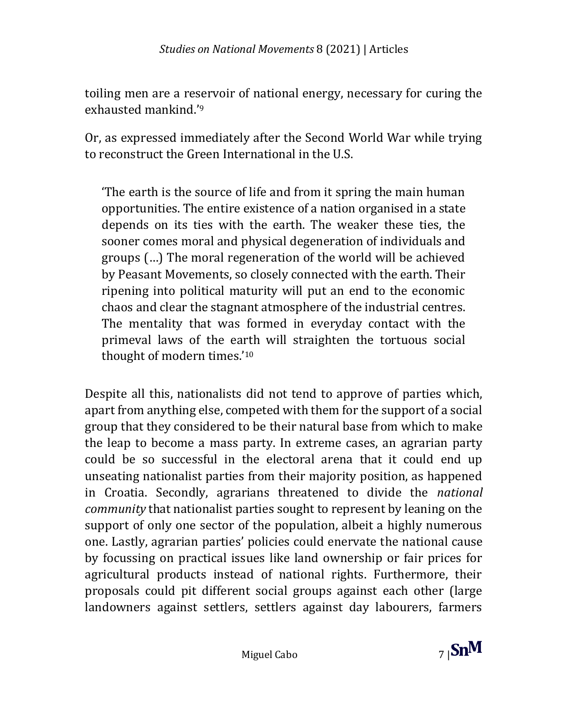toiling men are a reservoir of national energy, necessary for curing the exhausted mankind.' 9

Or, as expressed immediately after the Second World War while trying to reconstruct the Green International in the U.S.

'The earth is the source of life and from it spring the main human opportunities. The entire existence of a nation organised in a state depends on its ties with the earth. The weaker these ties, the sooner comes moral and physical degeneration of individuals and groups (…) The moral regeneration of the world will be achieved by Peasant Movements, so closely connected with the earth. Their ripening into political maturity will put an end to the economic chaos and clear the stagnant atmosphere of the industrial centres. The mentality that was formed in everyday contact with the primeval laws of the earth will straighten the tortuous social thought of modern times.' 10

Despite all this, nationalists did not tend to approve of parties which, apart from anything else, competed with them for the support of a social group that they considered to be their natural base from which to make the leap to become a mass party. In extreme cases, an agrarian party could be so successful in the electoral arena that it could end up unseating nationalist parties from their majority position, as happened in Croatia. Secondly, agrarians threatened to divide the *national community* that nationalist parties sought to represent by leaning on the support of only one sector of the population, albeit a highly numerous one. Lastly, agrarian parties' policies could enervate the national cause by focussing on practical issues like land ownership or fair prices for agricultural products instead of national rights. Furthermore, their proposals could pit different social groups against each other (large landowners against settlers, settlers against day labourers, farmers

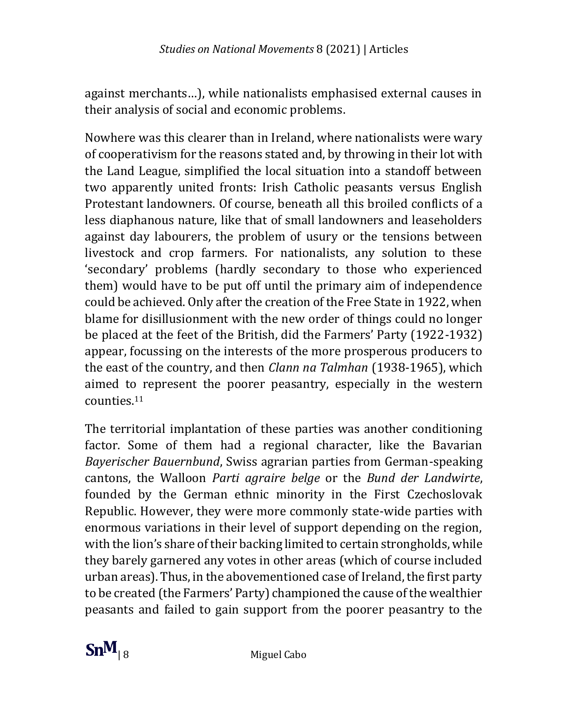against merchants…), while nationalists emphasised external causes in their analysis of social and economic problems.

Nowhere was this clearer than in Ireland, where nationalists were wary of cooperativism for the reasons stated and, by throwing in their lot with the Land League, simplified the local situation into a standoff between two apparently united fronts: Irish Catholic peasants versus English Protestant landowners. Of course, beneath all this broiled conflicts of a less diaphanous nature, like that of small landowners and leaseholders against day labourers, the problem of usury or the tensions between livestock and crop farmers. For nationalists, any solution to these 'secondary' problems (hardly secondary to those who experienced them) would have to be put off until the primary aim of independence could be achieved. Only after the creation of the Free State in 1922, when blame for disillusionment with the new order of things could no longer be placed at the feet of the British, did the Farmers' Party (1922-1932) appear, focussing on the interests of the more prosperous producers to the east of the country, and then *Clann na Talmhan* (1938-1965), which aimed to represent the poorer peasantry, especially in the western counties.<sup>11</sup>

The territorial implantation of these parties was another conditioning factor. Some of them had a regional character, like the Bavarian *Bayerischer Bauernbund*, Swiss agrarian parties from German-speaking cantons, the Walloon *Parti agraire belge* or the *Bund der Landwirte*, founded by the German ethnic minority in the First Czechoslovak Republic. However, they were more commonly state-wide parties with enormous variations in their level of support depending on the region, with the lion's share of their backing limited to certain strongholds, while they barely garnered any votes in other areas (which of course included urban areas). Thus, in the abovementioned case of Ireland, the first party to be created (the Farmers' Party) championed the cause of the wealthier peasants and failed to gain support from the poorer peasantry to the

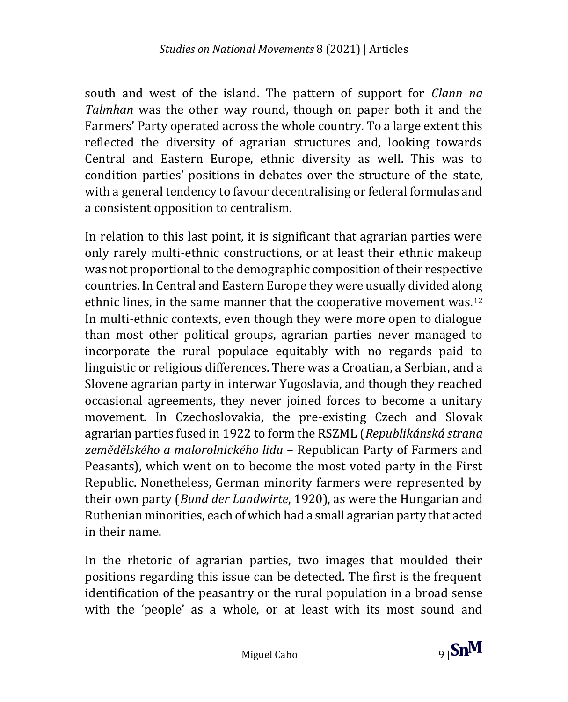south and west of the island. The pattern of support for *Clann na Talmhan* was the other way round, though on paper both it and the Farmers' Party operated across the whole country. To a large extent this reflected the diversity of agrarian structures and, looking towards Central and Eastern Europe, ethnic diversity as well. This was to condition parties' positions in debates over the structure of the state, with a general tendency to favour decentralising or federal formulas and a consistent opposition to centralism.

In relation to this last point, it is significant that agrarian parties were only rarely multi-ethnic constructions, or at least their ethnic makeup was not proportional to the demographic composition of their respective countries. In Central and Eastern Europe they were usually divided along ethnic lines, in the same manner that the cooperative movement was.<sup>12</sup> In multi-ethnic contexts, even though they were more open to dialogue than most other political groups, agrarian parties never managed to incorporate the rural populace equitably with no regards paid to linguistic or religious differences. There was a Croatian, a Serbian, and a Slovene agrarian party in interwar Yugoslavia, and though they reached occasional agreements, they never joined forces to become a unitary movement. In Czechoslovakia, the pre-existing Czech and Slovak agrarian parties fused in 1922 to form the RSZML (*Republikánská strana zemědělského a malorolnického lidu* – Republican Party of Farmers and Peasants), which went on to become the most voted party in the First Republic. Nonetheless, German minority farmers were represented by their own party (*Bund der Landwirte*, 1920), as were the Hungarian and Ruthenian minorities, each of which had a small agrarian party that acted in their name.

In the rhetoric of agrarian parties, two images that moulded their positions regarding this issue can be detected. The first is the frequent identification of the peasantry or the rural population in a broad sense with the 'people' as a whole, or at least with its most sound and

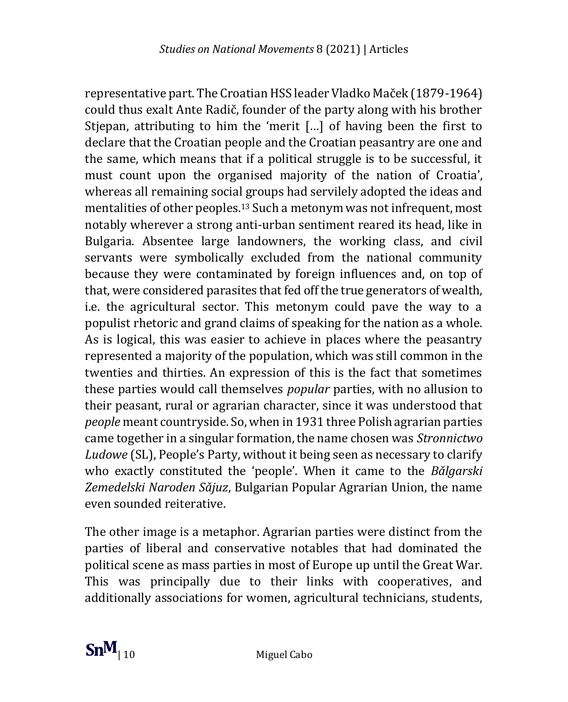representative part. The Croatian HSS leader Vladko Maček (1879-1964) could thus exalt Ante Radič, founder of the party along with his brother Stiepan, attributing to him the 'merit [...] of having been the first to declare that the Croatian people and the Croatian peasantry are one and the same, which means that if a political struggle is to be successful, it must count upon the organised majority of the nation of Croatia', whereas all remaining social groups had servilely adopted the ideas and mentalities of other peoples.<sup>13</sup> Such a metonym was not infrequent, most notably wherever a strong anti-urban sentiment reared its head, like in Bulgaria. Absentee large landowners, the working class, and civil servants were symbolically excluded from the national community because they were contaminated by foreign influences and, on top of that, were considered parasites that fed off the true generators of wealth, i.e. the agricultural sector. This metonym could pave the way to a populist rhetoric and grand claims of speaking for the nation as a whole. As is logical, this was easier to achieve in places where the peasantry represented a majority of the population, which was still common in the twenties and thirties. An expression of this is the fact that sometimes these parties would call themselves *popular* parties, with no allusion to their peasant, rural or agrarian character, since it was understood that *people* meant countryside. So, when in 1931 three Polish agrarian parties came together in a singular formation, the name chosen was *Stronnictwo Ludowe* (SL), People's Party, without it being seen as necessary to clarify who exactly constituted the 'people'. When it came to the *Bǎlgarski Zemedelski Naroden Sǎjuz*, Bulgarian Popular Agrarian Union, the name even sounded reiterative.

The other image is a metaphor. Agrarian parties were distinct from the parties of liberal and conservative notables that had dominated the political scene as mass parties in most of Europe up until the Great War. This was principally due to their links with cooperatives, and additionally associations for women, agricultural technicians, students,

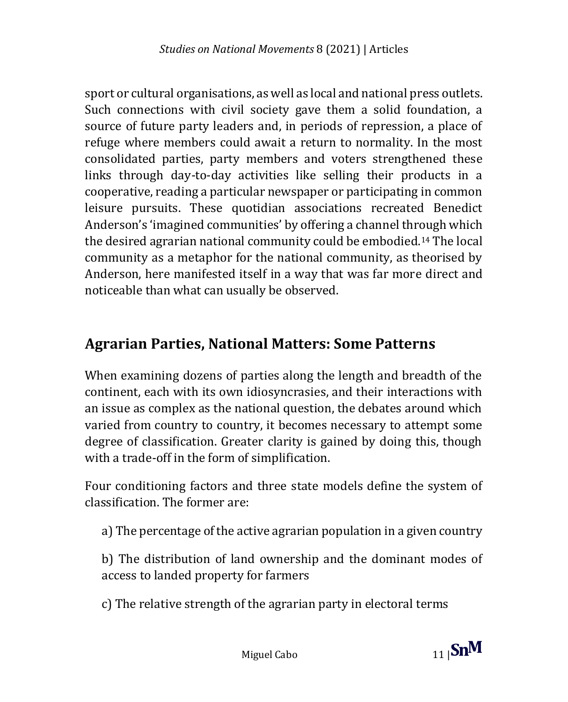sport or cultural organisations, as well as local and national press outlets. Such connections with civil society gave them a solid foundation, a source of future party leaders and, in periods of repression, a place of refuge where members could await a return to normality. In the most consolidated parties, party members and voters strengthened these links through day-to-day activities like selling their products in a cooperative, reading a particular newspaper or participating in common leisure pursuits. These quotidian associations recreated Benedict Anderson's 'imagined communities' by offering a channel through which the desired agrarian national community could be embodied.<sup>14</sup> The local community as a metaphor for the national community, as theorised by Anderson, here manifested itself in a way that was far more direct and noticeable than what can usually be observed.

## **Agrarian Parties, National Matters: Some Patterns**

When examining dozens of parties along the length and breadth of the continent, each with its own idiosyncrasies, and their interactions with an issue as complex as the national question, the debates around which varied from country to country, it becomes necessary to attempt some degree of classification. Greater clarity is gained by doing this, though with a trade-off in the form of simplification.

Four conditioning factors and three state models define the system of classification. The former are:

a) The percentage of the active agrarian population in a given country

b) The distribution of land ownership and the dominant modes of access to landed property for farmers

c) The relative strength of the agrarian party in electoral terms

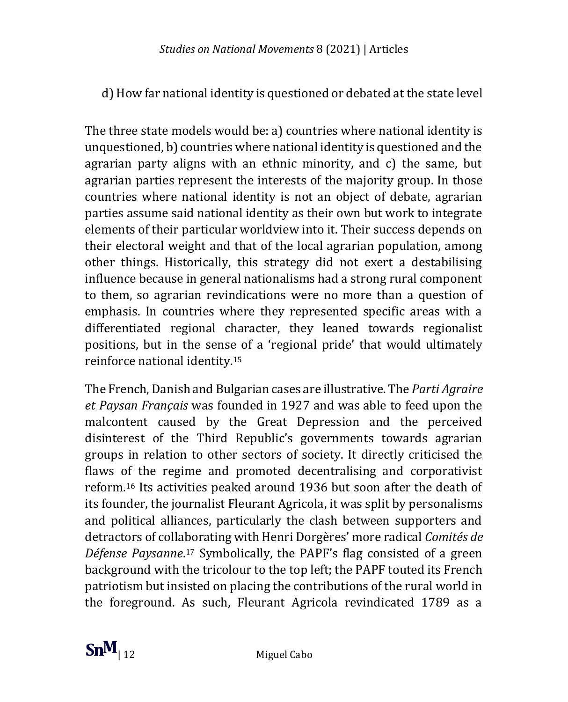d) How far national identity is questioned or debated at the state level

The three state models would be: a) countries where national identity is unquestioned, b) countries where national identity is questioned and the agrarian party aligns with an ethnic minority, and c) the same, but agrarian parties represent the interests of the majority group. In those countries where national identity is not an object of debate, agrarian parties assume said national identity as their own but work to integrate elements of their particular worldview into it. Their success depends on their electoral weight and that of the local agrarian population, among other things. Historically, this strategy did not exert a destabilising influence because in general nationalisms had a strong rural component to them, so agrarian revindications were no more than a question of emphasis. In countries where they represented specific areas with a differentiated regional character, they leaned towards regionalist positions, but in the sense of a 'regional pride' that would ultimately reinforce national identity.<sup>15</sup>

The French, Danish and Bulgarian cases are illustrative. The *Parti Agraire et Paysan Français* was founded in 1927 and was able to feed upon the malcontent caused by the Great Depression and the perceived disinterest of the Third Republic's governments towards agrarian groups in relation to other sectors of society. It directly criticised the flaws of the regime and promoted decentralising and corporativist reform.<sup>16</sup> Its activities peaked around 1936 but soon after the death of its founder, the journalist Fleurant Agricola, it was split by personalisms and political alliances, particularly the clash between supporters and detractors of collaborating with Henri Dorgères' more radical *Comités de Défense Paysanne*. <sup>17</sup> Symbolically, the PAPF's flag consisted of a green background with the tricolour to the top left; the PAPF touted its French patriotism but insisted on placing the contributions of the rural world in the foreground. As such, Fleurant Agricola revindicated 1789 as a

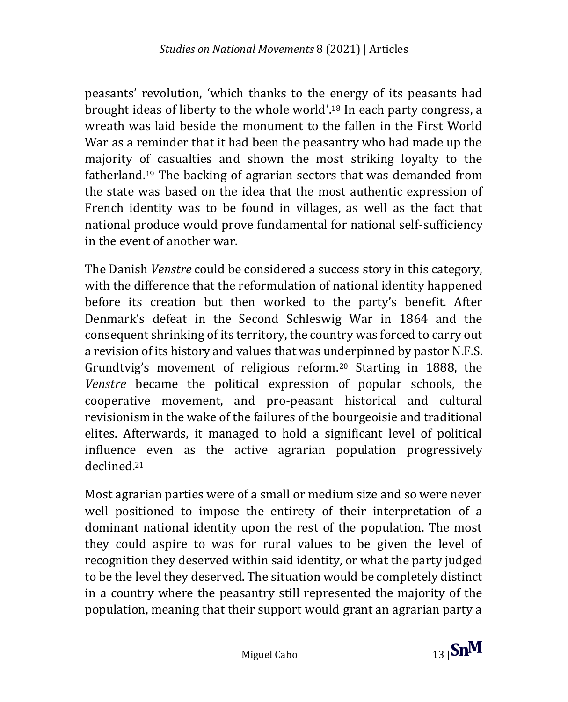peasants' revolution, 'which thanks to the energy of its peasants had brought ideas of liberty to the whole world'. <sup>18</sup> In each party congress, a wreath was laid beside the monument to the fallen in the First World War as a reminder that it had been the peasantry who had made up the majority of casualties and shown the most striking loyalty to the fatherland.<sup>19</sup> The backing of agrarian sectors that was demanded from the state was based on the idea that the most authentic expression of French identity was to be found in villages, as well as the fact that national produce would prove fundamental for national self-sufficiency in the event of another war.

The Danish *Venstre* could be considered a success story in this category, with the difference that the reformulation of national identity happened before its creation but then worked to the party's benefit. After Denmark's defeat in the Second Schleswig War in 1864 and the consequent shrinking of its territory, the country was forced to carry out a revision of its history and values that was underpinned by pastor N.F.S. Grundtvig's movement of religious reform.<sup>20</sup> Starting in 1888, the *Venstre* became the political expression of popular schools, the cooperative movement, and pro-peasant historical and cultural revisionism in the wake of the failures of the bourgeoisie and traditional elites. Afterwards, it managed to hold a significant level of political influence even as the active agrarian population progressively declined.<sup>21</sup>

Most agrarian parties were of a small or medium size and so were never well positioned to impose the entirety of their interpretation of a dominant national identity upon the rest of the population. The most they could aspire to was for rural values to be given the level of recognition they deserved within said identity, or what the party judged to be the level they deserved. The situation would be completely distinct in a country where the peasantry still represented the majority of the population, meaning that their support would grant an agrarian party a

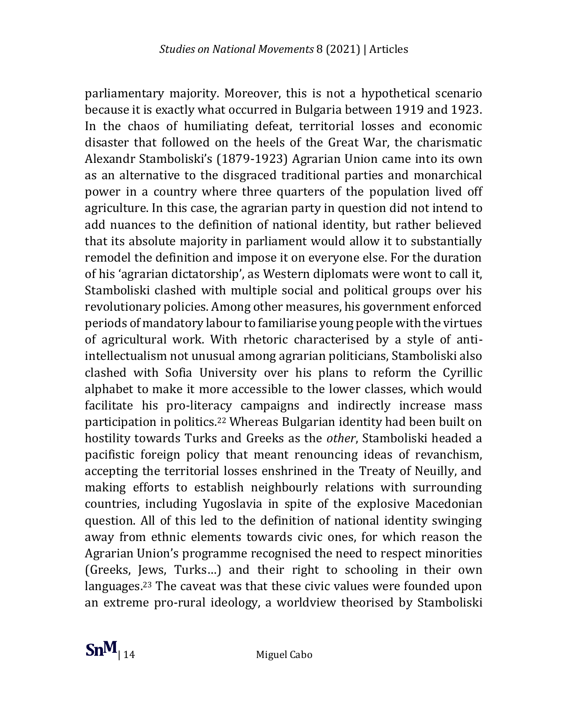parliamentary majority. Moreover, this is not a hypothetical scenario because it is exactly what occurred in Bulgaria between 1919 and 1923. In the chaos of humiliating defeat, territorial losses and economic disaster that followed on the heels of the Great War, the charismatic Alexandr Stamboliski's (1879-1923) Agrarian Union came into its own as an alternative to the disgraced traditional parties and monarchical power in a country where three quarters of the population lived off agriculture. In this case, the agrarian party in question did not intend to add nuances to the definition of national identity, but rather believed that its absolute majority in parliament would allow it to substantially remodel the definition and impose it on everyone else. For the duration of his 'agrarian dictatorship', as Western diplomats were wont to call it, Stamboliski clashed with multiple social and political groups over his revolutionary policies. Among other measures, his government enforced periods of mandatory labour to familiarise young people with the virtues of agricultural work. With rhetoric characterised by a style of antiintellectualism not unusual among agrarian politicians, Stamboliski also clashed with Sofia University over his plans to reform the Cyrillic alphabet to make it more accessible to the lower classes, which would facilitate his pro-literacy campaigns and indirectly increase mass participation in politics.<sup>22</sup> Whereas Bulgarian identity had been built on hostility towards Turks and Greeks as the *other*, Stamboliski headed a pacifistic foreign policy that meant renouncing ideas of revanchism, accepting the territorial losses enshrined in the Treaty of Neuilly, and making efforts to establish neighbourly relations with surrounding countries, including Yugoslavia in spite of the explosive Macedonian question. All of this led to the definition of national identity swinging away from ethnic elements towards civic ones, for which reason the Agrarian Union's programme recognised the need to respect minorities (Greeks, Jews, Turks…) and their right to schooling in their own languages.<sup>23</sup> The caveat was that these civic values were founded upon an extreme pro-rural ideology, a worldview theorised by Stamboliski

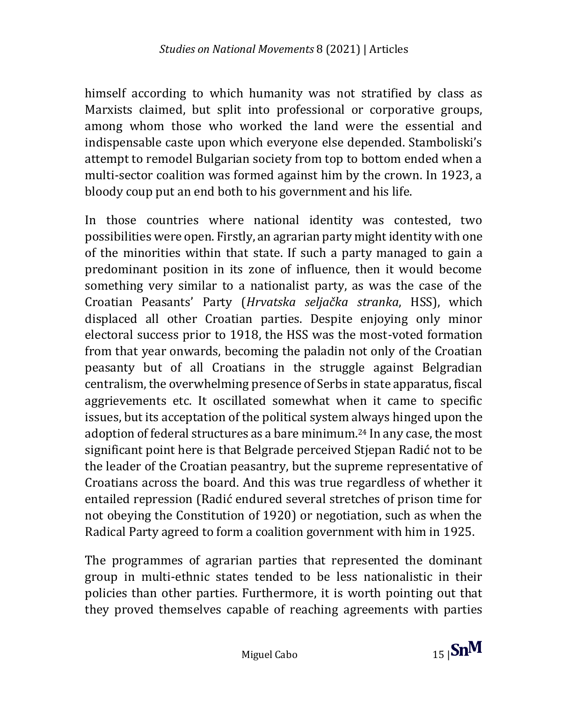himself according to which humanity was not stratified by class as Marxists claimed, but split into professional or corporative groups, among whom those who worked the land were the essential and indispensable caste upon which everyone else depended. Stamboliski's attempt to remodel Bulgarian society from top to bottom ended when a multi-sector coalition was formed against him by the crown. In 1923, a bloody coup put an end both to his government and his life.

In those countries where national identity was contested, two possibilities were open. Firstly, an agrarian party might identity with one of the minorities within that state. If such a party managed to gain a predominant position in its zone of influence, then it would become something very similar to a nationalist party, as was the case of the Croatian Peasants' Party (*Hrvatska seljačka stranka*, HSS), which displaced all other Croatian parties. Despite enjoying only minor electoral success prior to 1918, the HSS was the most-voted formation from that year onwards, becoming the paladin not only of the Croatian peasanty but of all Croatians in the struggle against Belgradian centralism, the overwhelming presence of Serbs in state apparatus, fiscal aggrievements etc. It oscillated somewhat when it came to specific issues, but its acceptation of the political system always hinged upon the adoption of federal structures as a bare minimum. <sup>24</sup> In any case, the most significant point here is that Belgrade perceived Stjepan Radić not to be the leader of the Croatian peasantry, but the supreme representative of Croatians across the board. And this was true regardless of whether it entailed repression (Radić endured several stretches of prison time for not obeying the Constitution of 1920) or negotiation, such as when the Radical Party agreed to form a coalition government with him in 1925.

The programmes of agrarian parties that represented the dominant group in multi-ethnic states tended to be less nationalistic in their policies than other parties. Furthermore, it is worth pointing out that they proved themselves capable of reaching agreements with parties

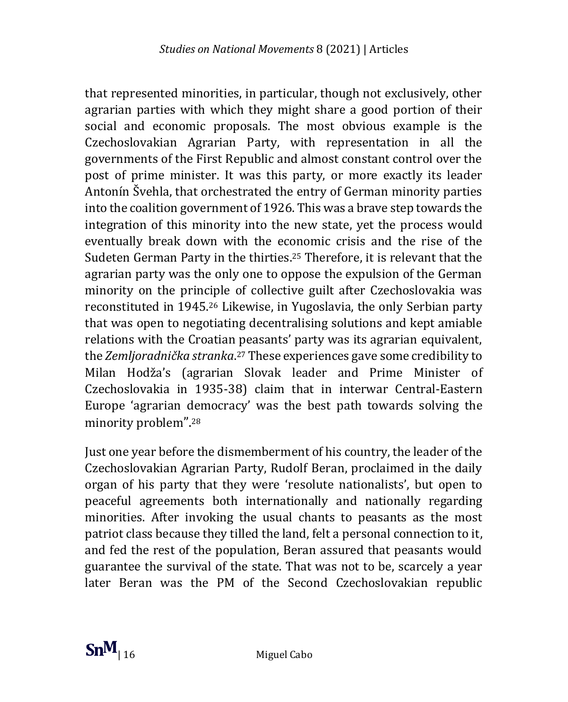that represented minorities, in particular, though not exclusively, other agrarian parties with which they might share a good portion of their social and economic proposals. The most obvious example is the Czechoslovakian Agrarian Party, with representation in all the governments of the First Republic and almost constant control over the post of prime minister. It was this party, or more exactly its leader Antonín Švehla, that orchestrated the entry of German minority parties into the coalition government of 1926. This was a brave step towards the integration of this minority into the new state, yet the process would eventually break down with the economic crisis and the rise of the Sudeten German Party in the thirties.<sup>25</sup> Therefore, it is relevant that the agrarian party was the only one to oppose the expulsion of the German minority on the principle of collective guilt after Czechoslovakia was reconstituted in 1945.<sup>26</sup> Likewise, in Yugoslavia, the only Serbian party that was open to negotiating decentralising solutions and kept amiable relations with the Croatian peasants' party was its agrarian equivalent, the *Zemljoradnička stranka*. <sup>27</sup> These experiences gave some credibility to Milan Hodža's (agrarian Slovak leader and Prime Minister of Czechoslovakia in 1935-38) claim that in interwar Central-Eastern Europe 'agrarian democracy' was the best path towards solving the minority problem".<sup>28</sup>

Just one year before the dismemberment of his country, the leader of the Czechoslovakian Agrarian Party, Rudolf Beran, proclaimed in the daily organ of his party that they were 'resolute nationalists', but open to peaceful agreements both internationally and nationally regarding minorities. After invoking the usual chants to peasants as the most patriot class because they tilled the land, felt a personal connection to it, and fed the rest of the population, Beran assured that peasants would guarantee the survival of the state. That was not to be, scarcely a year later Beran was the PM of the Second Czechoslovakian republic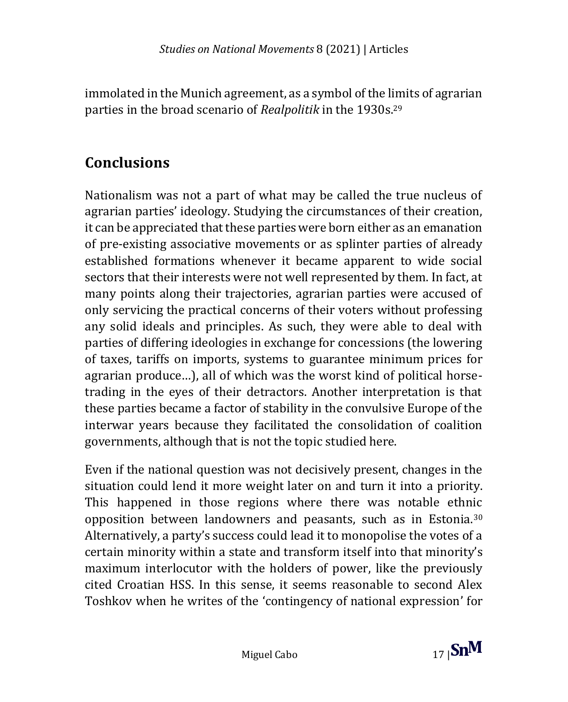immolated in the Munich agreement, as a symbol of the limits of agrarian parties in the broad scenario of *Realpolitik* in the 1930s.<sup>29</sup>

## **Conclusions**

Nationalism was not a part of what may be called the true nucleus of agrarian parties' ideology. Studying the circumstances of their creation, it can be appreciated that these parties were born either as an emanation of pre-existing associative movements or as splinter parties of already established formations whenever it became apparent to wide social sectors that their interests were not well represented by them. In fact, at many points along their trajectories, agrarian parties were accused of only servicing the practical concerns of their voters without professing any solid ideals and principles. As such, they were able to deal with parties of differing ideologies in exchange for concessions (the lowering of taxes, tariffs on imports, systems to guarantee minimum prices for agrarian produce…), all of which was the worst kind of political horsetrading in the eyes of their detractors. Another interpretation is that these parties became a factor of stability in the convulsive Europe of the interwar years because they facilitated the consolidation of coalition governments, although that is not the topic studied here.

Even if the national question was not decisively present, changes in the situation could lend it more weight later on and turn it into a priority. This happened in those regions where there was notable ethnic opposition between landowners and peasants, such as in Estonia.<sup>30</sup> Alternatively, a party's success could lead it to monopolise the votes of a certain minority within a state and transform itself into that minority's maximum interlocutor with the holders of power, like the previously cited Croatian HSS. In this sense, it seems reasonable to second Alex Toshkov when he writes of the 'contingency of national expression' for

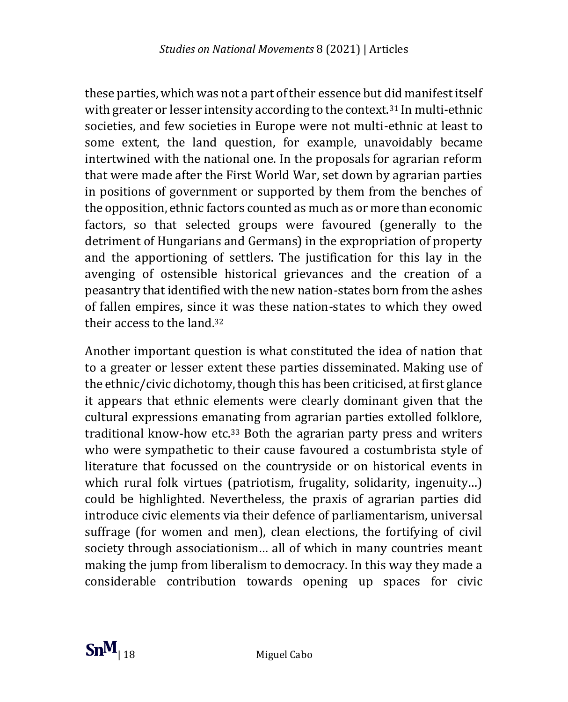these parties, which was not a part of their essence but did manifest itself with greater or lesser intensity according to the context.<sup>31</sup> In multi-ethnic societies, and few societies in Europe were not multi-ethnic at least to some extent, the land question, for example, unavoidably became intertwined with the national one. In the proposals for agrarian reform that were made after the First World War, set down by agrarian parties in positions of government or supported by them from the benches of the opposition, ethnic factors counted as much as or more than economic factors, so that selected groups were favoured (generally to the detriment of Hungarians and Germans) in the expropriation of property and the apportioning of settlers. The justification for this lay in the avenging of ostensible historical grievances and the creation of a peasantry that identified with the new nation-states born from the ashes of fallen empires, since it was these nation-states to which they owed their access to the land.<sup>32</sup>

Another important question is what constituted the idea of nation that to a greater or lesser extent these parties disseminated. Making use of the ethnic/civic dichotomy, though this has been criticised, at first glance it appears that ethnic elements were clearly dominant given that the cultural expressions emanating from agrarian parties extolled folklore, traditional know-how etc.<sup>33</sup> Both the agrarian party press and writers who were sympathetic to their cause favoured a costumbrista style of literature that focussed on the countryside or on historical events in which rural folk virtues (patriotism, frugality, solidarity, ingenuity...) could be highlighted. Nevertheless, the praxis of agrarian parties did introduce civic elements via their defence of parliamentarism, universal suffrage (for women and men), clean elections, the fortifying of civil society through associationism… all of which in many countries meant making the jump from liberalism to democracy. In this way they made a considerable contribution towards opening up spaces for civic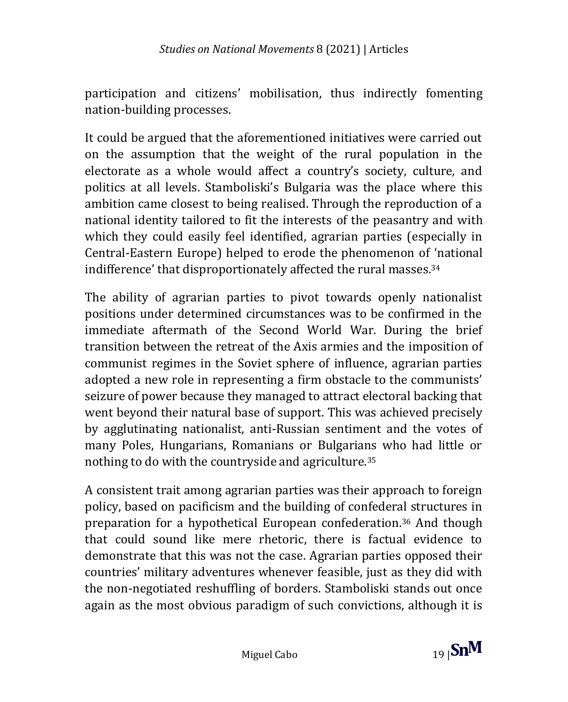participation and citizens' mobilisation, thus indirectly fomenting nation-building processes.

It could be argued that the aforementioned initiatives were carried out on the assumption that the weight of the rural population in the electorate as a whole would affect a country's society, culture, and politics at all levels. Stamboliski's Bulgaria was the place where this ambition came closest to being realised. Through the reproduction of a national identity tailored to fit the interests of the peasantry and with which they could easily feel identified, agrarian parties (especially in Central-Eastern Europe) helped to erode the phenomenon of 'national indifference' that disproportionately affected the rural masses.<sup>34</sup>

The ability of agrarian parties to pivot towards openly nationalist positions under determined circumstances was to be confirmed in the immediate aftermath of the Second World War. During the brief transition between the retreat of the Axis armies and the imposition of communist regimes in the Soviet sphere of influence, agrarian parties adopted a new role in representing a firm obstacle to the communists' seizure of power because they managed to attract electoral backing that went beyond their natural base of support. This was achieved precisely by agglutinating nationalist, anti-Russian sentiment and the votes of many Poles, Hungarians, Romanians or Bulgarians who had little or nothing to do with the countryside and agriculture.<sup>35</sup>

A consistent trait among agrarian parties was their approach to foreign policy, based on pacificism and the building of confederal structures in preparation for a hypothetical European confederation.<sup>36</sup> And though that could sound like mere rhetoric, there is factual evidence to demonstrate that this was not the case. Agrarian parties opposed their countries' military adventures whenever feasible, just as they did with the non-negotiated reshuffling of borders. Stamboliski stands out once again as the most obvious paradigm of such convictions, although it is

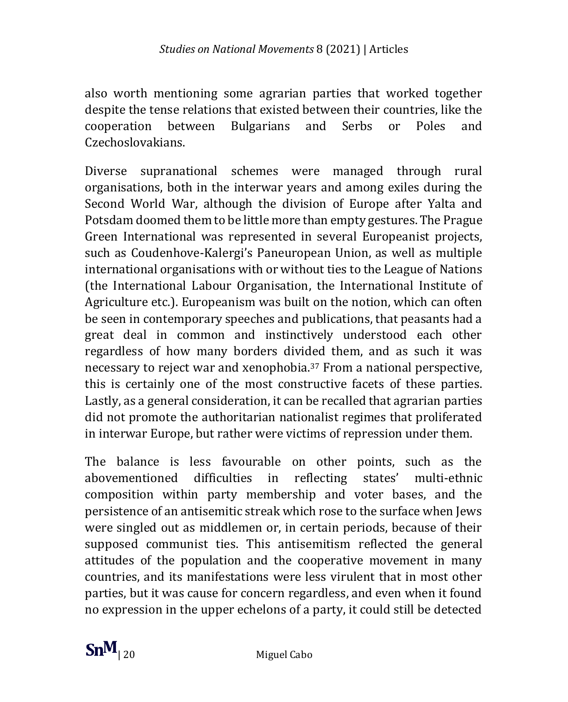also worth mentioning some agrarian parties that worked together despite the tense relations that existed between their countries, like the cooperation between Bulgarians and Serbs or Poles and Czechoslovakians.

Diverse supranational schemes were managed through rural organisations, both in the interwar years and among exiles during the Second World War, although the division of Europe after Yalta and Potsdam doomed them to be little more than empty gestures. The Prague Green International was represented in several Europeanist projects, such as Coudenhove-Kalergi's Paneuropean Union, as well as multiple international organisations with or without ties to the League of Nations (the International Labour Organisation, the International Institute of Agriculture etc.). Europeanism was built on the notion, which can often be seen in contemporary speeches and publications, that peasants had a great deal in common and instinctively understood each other regardless of how many borders divided them, and as such it was necessary to reject war and xenophobia.<sup>37</sup> From a national perspective, this is certainly one of the most constructive facets of these parties. Lastly, as a general consideration, it can be recalled that agrarian parties did not promote the authoritarian nationalist regimes that proliferated in interwar Europe, but rather were victims of repression under them.

The balance is less favourable on other points, such as the abovementioned difficulties in reflecting states' multi-ethnic composition within party membership and voter bases, and the persistence of an antisemitic streak which rose to the surface when Jews were singled out as middlemen or, in certain periods, because of their supposed communist ties. This antisemitism reflected the general attitudes of the population and the cooperative movement in many countries, and its manifestations were less virulent that in most other parties, but it was cause for concern regardless, and even when it found no expression in the upper echelons of a party, it could still be detected

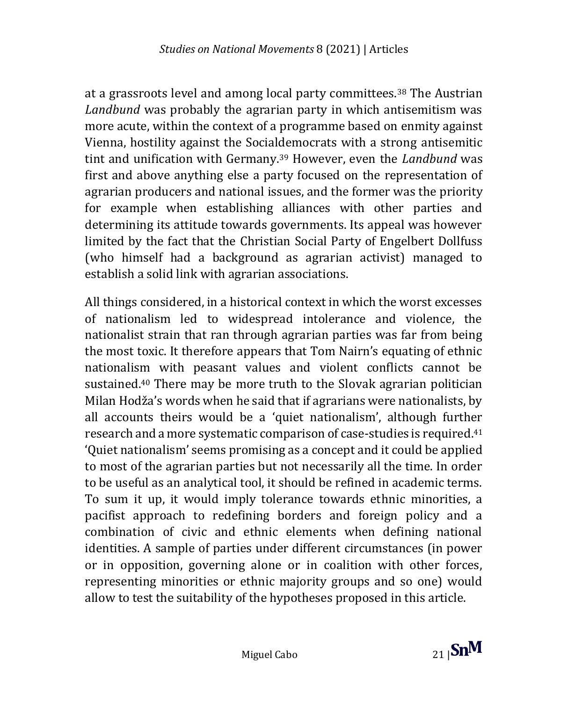at a grassroots level and among local party committees.<sup>38</sup> The Austrian *Landbund* was probably the agrarian party in which antisemitism was more acute, within the context of a programme based on enmity against Vienna, hostility against the Socialdemocrats with a strong antisemitic tint and unification with Germany.<sup>39</sup> However, even the *Landbund* was first and above anything else a party focused on the representation of agrarian producers and national issues, and the former was the priority for example when establishing alliances with other parties and determining its attitude towards governments. Its appeal was however limited by the fact that the Christian Social Party of Engelbert Dollfuss (who himself had a background as agrarian activist) managed to establish a solid link with agrarian associations.

All things considered, in a historical context in which the worst excesses of nationalism led to widespread intolerance and violence, the nationalist strain that ran through agrarian parties was far from being the most toxic. It therefore appears that Tom Nairn's equating of ethnic nationalism with peasant values and violent conflicts cannot be sustained.<sup>40</sup> There may be more truth to the Slovak agrarian politician Milan Hodža's words when he said that if agrarians were nationalists, by all accounts theirs would be a 'quiet nationalism', although further research and a more systematic comparison of case-studies is required. 41 'Quiet nationalism' seems promising as a concept and it could be applied to most of the agrarian parties but not necessarily all the time. In order to be useful as an analytical tool, it should be refined in academic terms. To sum it up, it would imply tolerance towards ethnic minorities, a pacifist approach to redefining borders and foreign policy and a combination of civic and ethnic elements when defining national identities. A sample of parties under different circumstances (in power or in opposition, governing alone or in coalition with other forces, representing minorities or ethnic majority groups and so one) would allow to test the suitability of the hypotheses proposed in this article.

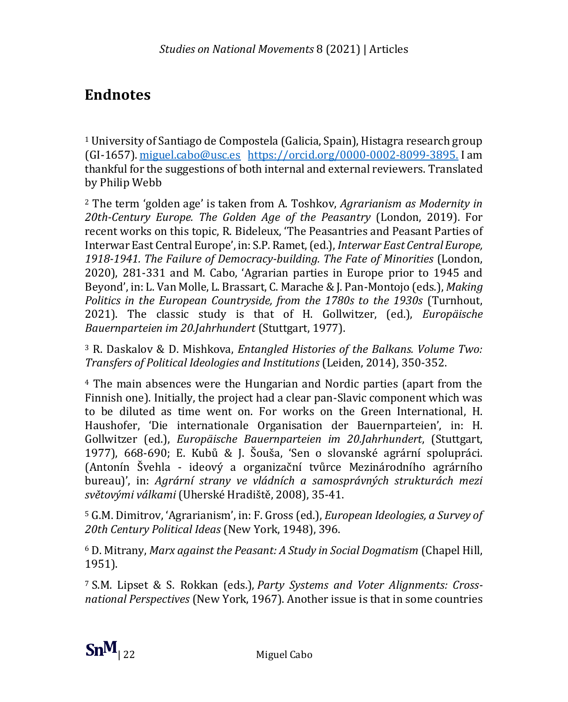### **Endnotes**

<sup>1</sup> University of Santiago de Compostela (Galicia, Spain), Histagra research group (GI-1657)[. miguel.cabo@usc.es](mailto:miguel.cabo@usc.es) [https://orcid.org/0000-0002-8099-3895.](https://orcid.org/0000-0002-8099-3895) I am thankful for the suggestions of both internal and external reviewers. Translated by Philip Webb

<sup>2</sup> The term 'golden age' is taken from A. Toshkov, *Agrarianism as Modernity in 20th-Century Europe. The Golden Age of the Peasantry* (London, 2019). For recent works on this topic, R. Bideleux, 'The Peasantries and Peasant Parties of Interwar East Central Europe', in: S.P. Ramet, (ed.), *Interwar East Central Europe, 1918-1941. The Failure of Democracy-building. The Fate of Minorities* (London, 2020), 281-331 and M. Cabo, 'Agrarian parties in Europe prior to 1945 and Beyond', in: L. Van Molle, L. Brassart, C. Marache & J. Pan-Montojo (eds.), *Making Politics in the European Countryside, from the 1780s to the 1930s* (Turnhout, 2021). The classic study is that of H. Gollwitzer, (ed.), *Europäische Bauernparteien im 20.Jahrhundert* (Stuttgart, 1977).

<sup>3</sup> R. Daskalov & D. Mishkova, *Entangled Histories of the Balkans. Volume Two: Transfers of Political Ideologies and Institutions* (Leiden, 2014), 350-352.

<sup>4</sup> The main absences were the Hungarian and Nordic parties (apart from the Finnish one). Initially, the project had a clear pan-Slavic component which was to be diluted as time went on. For works on the Green International, H. Haushofer, 'Die internationale Organisation der Bauernparteien', in: H. Gollwitzer (ed.), *Europäische Bauernparteien im 20.Jahrhundert*, (Stuttgart, 1977), 668-690; E. Kubů & J. Šouša, 'Sen o slovanské agrární spolupráci. (Antonín Švehla - ideový a organizační tvůrce Mezinárodního agrárního bureau)', in: *Agrární strany ve vládních a samosprávných strukturách mezi světovými válkami* (Uherské Hradiště, 2008), 35-41.

<sup>5</sup> G.M. Dimitrov, 'Agrarianism', in: F. Gross (ed.), *European Ideologies, a Survey of 20th Century Political Ideas* (New York, 1948), 396.

<sup>6</sup> D. Mitrany, *Marx against the Peasant: A Study in Social Dogmatism* (Chapel Hill, 1951).

<sup>7</sup> S.M. Lipset & S. Rokkan (eds.), *Party Systems and Voter Alignments: Crossnational Perspectives* (New York, 1967). Another issue is that in some countries

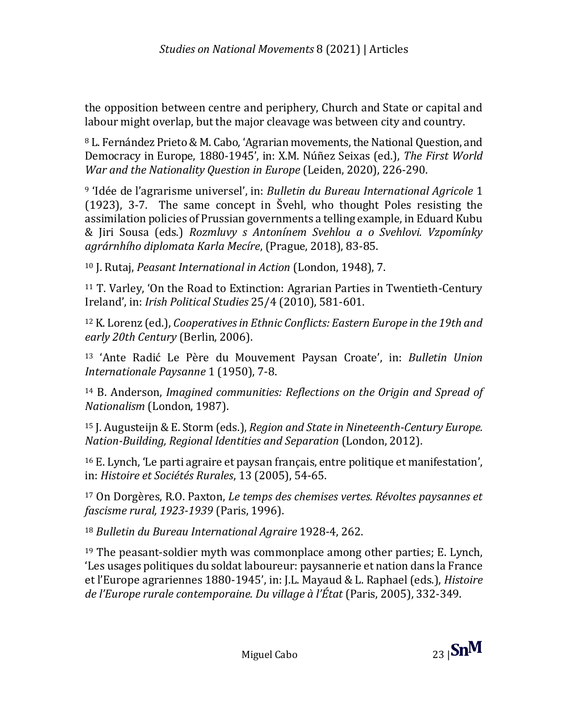the opposition between centre and periphery, Church and State or capital and labour might overlap, but the major cleavage was between city and country.

<sup>8</sup> L. Fernández Prieto & M. Cabo, 'Agrarian movements, the National Question, and Democracy in Europe, 1880-1945', in: X.M. Núñez Seixas (ed.), *The First World War and the Nationality Question in Europe* (Leiden, 2020), 226-290.

<sup>9</sup> 'Idée de l'agrarisme universel', in: *Bulletin du Bureau International Agricole* 1 (1923), 3-7. The same concept in Švehl, who thought Poles resisting the assimilation policies of Prussian governments a telling example, in Eduard Kubu & Jiri Sousa (eds.) *Rozmluvy s Antonínem Svehlou a o Svehlovi. Vzpomínky agrárnhího diplomata Karla Mecíre*, (Prague, 2018), 83-85.

<sup>10</sup> J. Rutaj, *Peasant International in Action* (London, 1948), 7.

<sup>11</sup> T. Varley, 'On the Road to Extinction: Agrarian Parties in Twentieth-Century Ireland', in: *Irish Political Studies* 25/4 (2010), 581-601.

<sup>12</sup> K. Lorenz (ed.), *Cooperatives in Ethnic Conflicts: Eastern Europe in the 19th and early 20th Century* (Berlin, 2006).

<sup>13</sup> 'Ante Radić Le Père du Mouvement Paysan Croate', in: *Bulletin Union Internationale Paysanne* 1 (1950), 7-8.

<sup>14</sup> B. Anderson, *Imagined communities: Reflections on the Origin and Spread of Nationalism* (London, 1987).

<sup>15</sup> J. Augusteijn & E. Storm (eds.), *Region and State in Nineteenth-Century Europe. Nation-Building, Regional Identities and Separation* (London, 2012).

<sup>16</sup> E. Lynch, 'Le parti agraire et paysan français, entre politique et manifestation', in: *Histoire et Sociétés Rurales*, 13 (2005), 54-65.

<sup>17</sup> On Dorgères, R.O. Paxton, *Le temps des chemises vertes. Révoltes paysannes et fascisme rural, 1923-1939* (Paris, 1996).

<sup>18</sup> *Bulletin du Bureau International Agraire* 1928-4, 262.

<sup>19</sup> The peasant-soldier myth was commonplace among other parties; E. Lynch, 'Les usages politiques du soldat laboureur: paysannerie et nation dans la France et l'Europe agrariennes 1880-1945', in: J.L. Mayaud & L. Raphael (eds.), *Histoire de l'Europe rurale contemporaine. Du village à l'État* (Paris, 2005), 332-349.

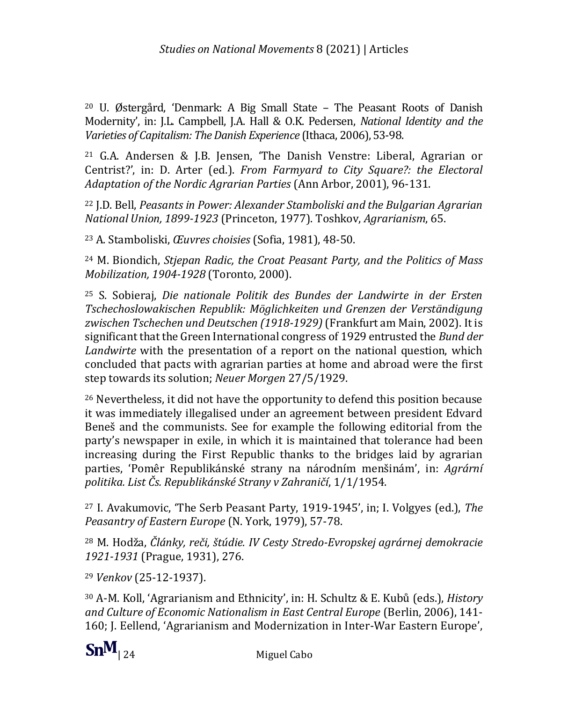<sup>20</sup> U. Østergård, 'Denmark: A Big Small State – The Peasant Roots of Danish Modernity', in: J.L. Campbell, J.A. Hall & O.K. Pedersen, *National Identity and the Varieties of Capitalism: The Danish Experience* (Ithaca, 2006), 53-98.

<sup>21</sup> G.A. Andersen & J.B. Jensen, 'The Danish Venstre: Liberal, Agrarian or Centrist?', in: D. Arter (ed.). *From Farmyard to City Square?: the Electoral Adaptation of the Nordic Agrarian Parties* (Ann Arbor, 2001), 96-131.

<sup>22</sup> J.D. Bell, *Peasants in Power: Alexander Stamboliski and the Bulgarian Agrarian National Union, 1899-1923* (Princeton, 1977). Toshkov, *Agrarianism*, 65.

<sup>23</sup> A. Stamboliski, *Œuvres choisies* (Sofia, 1981), 48-50.

<sup>24</sup> M. Biondich, *Stjepan Radic, the Croat Peasant Party, and the Politics of Mass Mobilization, 1904-1928* (Toronto, 2000).

<sup>25</sup> S. Sobieraj, *Die nationale Politik des Bundes der Landwirte in der Ersten Tschechoslowakischen Republik: Möglichkeiten und Grenzen der Verständigung zwischen Tschechen und Deutschen (1918-1929)* (Frankfurt am Main, 2002). It is significant that the Green International congress of 1929 entrusted the *Bund der Landwirte* with the presentation of a report on the national question, which concluded that pacts with agrarian parties at home and abroad were the first step towards its solution; *Neuer Morgen* 27/5/1929.

<sup>26</sup> Nevertheless, it did not have the opportunity to defend this position because it was immediately illegalised under an agreement between president Edvard Beneš and the communists. See for example the following editorial from the party's newspaper in exile, in which it is maintained that tolerance had been increasing during the First Republic thanks to the bridges laid by agrarian parties, 'Pomêr Republikánské strany na národním menšinám', in: *Agrární politika. List Čs. Republikánské Strany v Zahraničí*, 1/1/1954.

<sup>27</sup> I. Avakumovic, 'The Serb Peasant Party, 1919-1945', in; I. Volgyes (ed.), *The Peasantry of Eastern Europe* (N. York, 1979), 57-78.

<sup>28</sup> M. Hodža, *Články, reči, štúdie. IV Cesty Stredo-Evropskej agrárnej demokracie 1921-1931* (Prague, 1931), 276.

<sup>29</sup> *Venkov* (25-12-1937).

<sup>30</sup> A-M. Koll, 'Agrarianism and Ethnicity', in: H. Schultz & E. Kubů (eds.), *History and Culture of Economic Nationalism in East Central Europe* (Berlin, 2006), 141- 160; J. Eellend, 'Agrarianism and Modernization in Inter-War Eastern Europe',

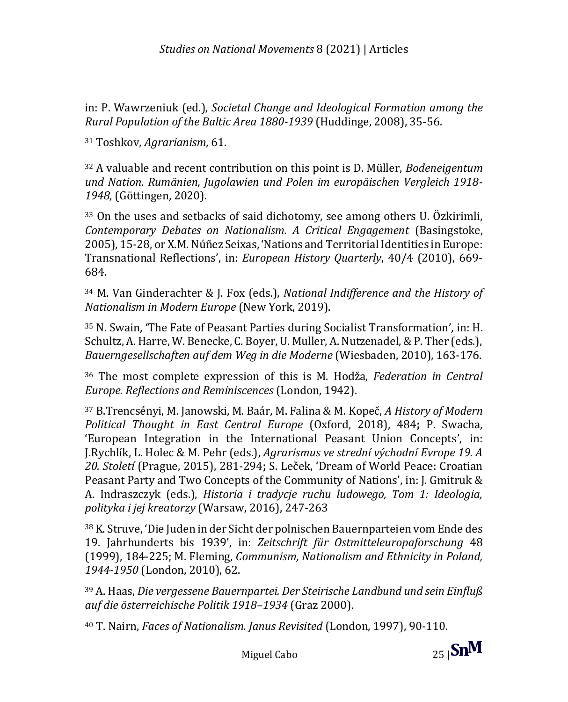in: P. Wawrzeniuk (ed.), *Societal Change and Ideological Formation among the Rural Population of the Baltic Area 1880-1939* (Huddinge, 2008), 35-56.

<sup>31</sup> Toshkov, *Agrarianism*, 61.

<sup>32</sup> A valuable and recent contribution on this point is D. Müller, *Bodeneigentum und Nation. Rumänien, Jugolawien und Polen im europäischen Vergleich 1918- 1948*, (Göttingen, 2020).

<sup>33</sup> On the uses and setbacks of said dichotomy, see among others U. Özkirimli, *Contemporary Debates on Nationalism. A Critical Engagement* (Basingstoke, 2005), 15-28, or X.M. Núñez Seixas, 'Nations and Territorial Identities in Europe: Transnational Reflections', in: *European History Quarterly*, 40/4 (2010), 669- 684.

<sup>34</sup> M. Van Ginderachter & J. Fox (eds.), *National Indifference and the History of Nationalism in Modern Europe* (New York, 2019).

<sup>35</sup> N. Swain, 'The Fate of Peasant Parties during Socialist Transformation', in: H. Schultz, A. Harre, W. Benecke, C. Boyer, U. Muller, A. Nutzenadel, & P. Ther (eds.), *Bauerngesellschaften auf dem Weg in die Moderne* (Wiesbaden, 2010), 163-176.

<sup>36</sup> The most complete expression of this is M. Hodža*, Federation in Central Europe. Reflections and Reminiscences* (London, 1942).

<sup>37</sup> B.Trencsényi, M. Janowski, M. Baár, M. Falina & M. Kopeč, *A History of Modern Political Thought in East Central Europe* (Oxford, 2018), 484**;** P. Swacha, 'European Integration in the International Peasant Union Concepts', in: J.Rychlík, L. Holec & M. Pehr (eds.), *Agrarismus ve strední východní Evrope 19. A 20. Století* (Prague, 2015), 281-294**;** S. Leček, 'Dream of World Peace: Croatian Peasant Party and Two Concepts of the Community of Nations', in: J. Gmitruk & A. Indraszczyk (eds.), *Historia i tradycje ruchu ludowego, Tom 1: Ideologia, polityka i jej kreatorzy* (Warsaw, 2016), 247-263

<sup>38</sup> K. Struve, 'Die Juden in der Sicht der polnischen Bauernparteien vom Ende des 19. Jahrhunderts bis 1939', in: *Zeitschrift für Ostmitteleuropaforschung* 48 (1999), 184-225; M. Fleming, *Communism, Nationalism and Ethnicity in Poland, 1944-1950* (London, 2010), 62.

<sup>39</sup> A. Haas, *Die vergessene Bauernpartei. Der Steirische Landbund und sein Einfluß auf die österreichische Politik 1918–1934* (Graz 2000).

<sup>40</sup> T. Nairn, *Faces of Nationalism. Janus Revisited* (London, 1997), 90-110.